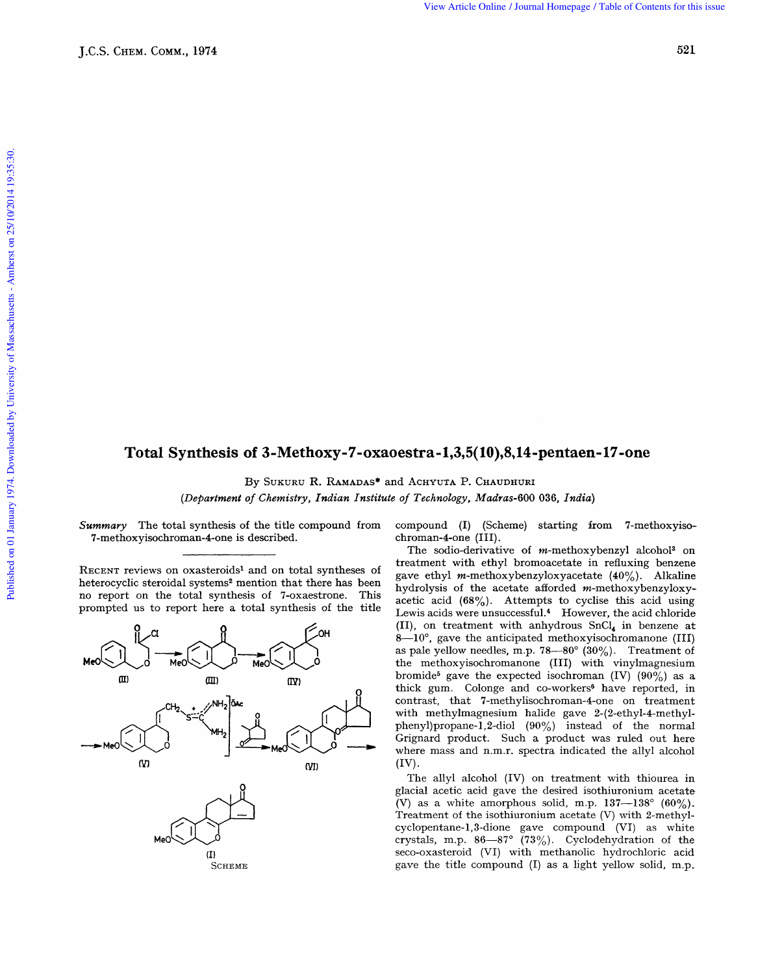View Article Online / Journal Homepage / Table of Contents for this issue

## **Total Synthesis of 3-Methoxy-7-oxaoestra-1,3,5( 10),8,14=pentaen- 17-one 036,** *India 036, India P*

By SUKURU R. RAMADAS\* and ACHYUTA P. CHAUDHURI

*(Department of Chemistry, Indian Institute of Technology, Madras-600* 

7-methoxyisochroman-4-one is described.

heterocyclic steroidal systems<sup>2</sup> mention that there has been no report on the total synthesis of 7-oxaestrone. This



*Summary* The total synthesis of the title compound from compound (I) (Scheme) starting from 7-methoxyiso-<br>7-methoxyisochroman-4-one is described.<br>8. The set of the title compound from compound (III).

The sodio-derivative of m-methoxybenzyl alcohol3 on treatment with ethyl bromoacetate in refluxing benzene hydrolysis of the acetate afforded  $m$ -methoxybenzyloxyacetic acid  $(68\%)$ . Attempts to cyclise this acid using By SUKURU R. RAMADAS<sup>\*</sup> and ACHYUTA P. CHAUDHURI<br>
Summary The total synthesis of the title compound from compound (I) (Scheme) starting from 7-methoxyiso-<br>
7-methoxyisochroman-4-one is described.<br>
The sodio-derivative of m prompted us to report here a total synthesis of the title  $\frac{\text{acute}}{\text{Lewis}}$  Lewis acids were unsuccessful.<sup>4</sup> However, the acid chloride (11), on treatment with anhydrous SnC1, in benzene at the methoxyisochromanone (111) with vinylmagnesium bromide<sup>5</sup> gave the expected isochroman (IV) (90%) as a as pale yellow needles, m.p.  $78-80^{\circ}$  (30%). Treatment 8-10°, gave the anticipated methoxyisochromanone (III) o-<br>me<br>y-<br>y-<br>ag<br>at<br>TJ)<br>of m thick gum. Colonge and co-workers<sup>6</sup> have reported, in CH<sub>2</sub> strategy and Change and Contrast, that 7-methylisochroman-4-one on treatment on the methoxyisochromanone (III) with viny magnesium bromide<sup>5</sup> gave the expected isochroman (IV) (90%) as a thick gum. Colonge and co-wor phenyl)propane-1,2-diol (90%) instead of the normal Grignard product. Such a product was ruled out here where mass and n.m.r. spectra indicated the allyl alcohol **Methods 2-7-oxxodestra -1,3,5(10),8,144-pentanen-17-one**<br> **Methods 2-7-oxxodestra -1,3,5(10),8,144-pentanen-17-one**<br> **Methods 2-2011**<br> **Methods 2-oxxodestra -1,3,5(10),8,144-pentanen-17-one**<br> **Methods 2-120**<br> **Community,** 

The allyl alcohol (IV) on treatment with thiourea in glacial acetic acid gave the desired isothiuronium acetate (V) as a white amorphous solid, m.p.  $137-138^{\circ}$  (60%). Treatment of the isothiuronium acetate  $(V)$  with 2-methylcyclopentane-l,3-dione gave compound (VI) as white crystals, m.p. 86-87" **(73%).** Cyclodehydration of the seco-oxasteroid (VI) with methanolic hydrochloric acid gave the title compound (I) as a light yellow solid, m.p,